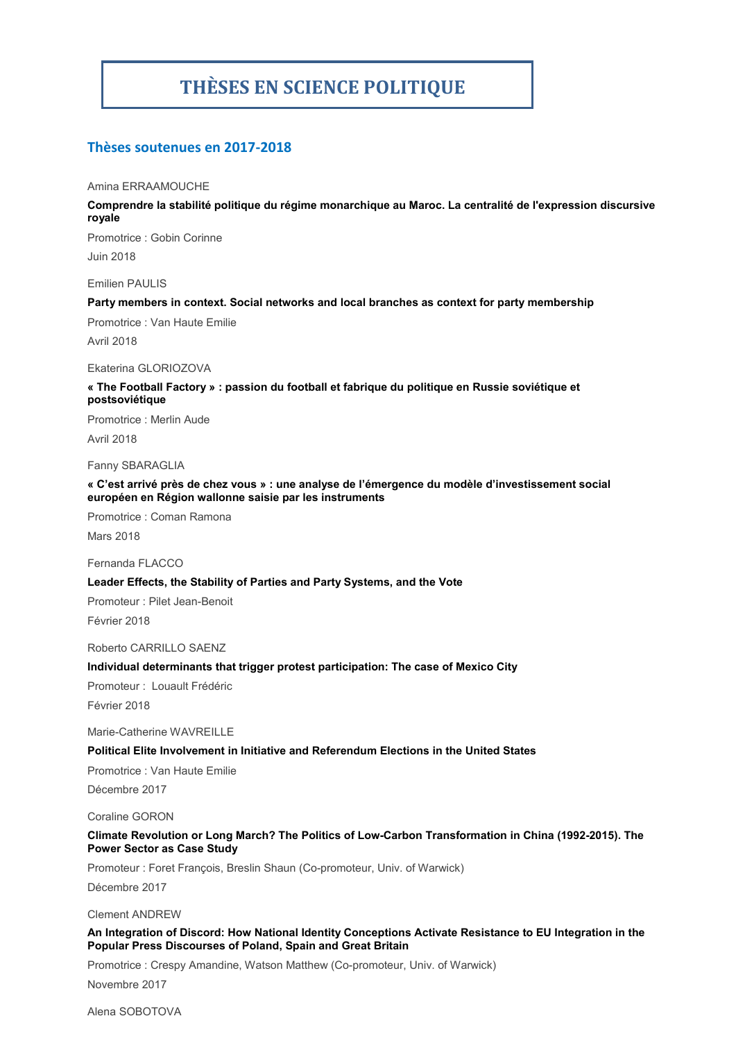# **THÈSES EN SCIENCE POLITIQUE**

# **Thèses soutenues en 2017-2018**

#### Amina ERRAAMOUCHE

**Comprendre la stabilité politique du régime monarchique au Maroc. La centralité de l'expression discursive royale**

Promotrice : Gobin Corinne Juin 2018

Emilien PAULIS

### **Party members in context. Social networks and local branches as context for party membership**

Promotrice : Van Haute Emilie

Avril 2018

#### Ekaterina GLORIOZOVA

# **« The Football Factory » : passion du football et fabrique du politique en Russie soviétique et postsoviétique**

Promotrice : Merlin Aude

Avril 2018

# Fanny SBARAGLIA

### **« C'est arrivé près de chez vous » : une analyse de l'émergence du modèle d'investissement social européen en Région wallonne saisie par les instruments**

Promotrice : Coman Ramona

Mars 2018

Fernanda FLACCO

### **Leader Effects, the Stability of Parties and Party Systems, and the Vote**

Promoteur : Pilet Jean-Benoit Février 2018

Roberto CARRILLO SAENZ

# **Individual determinants that trigger protest participation: The case of Mexico City**

Promoteur : Louault Frédéric

Février 2018

Marie-Catherine WAVREILLE

# **Political Elite Involvement in Initiative and Referendum Elections in the United States**

Promotrice : Van Haute Emilie

Décembre 2017

Coraline GORON

### **Climate Revolution or Long March? The Politics of Low-Carbon Transformation in China (1992-2015). The Power Sector as Case Study**

Promoteur : Foret François, Breslin Shaun (Co-promoteur, Univ. of Warwick) Décembre 2017

Clement ANDREW

### **An Integration of Discord: How National Identity Conceptions Activate Resistance to EU Integration in the Popular Press Discourses of Poland, Spain and Great Britain**

Promotrice : Crespy Amandine, Watson Matthew (Co-promoteur, Univ. of Warwick) Novembre 2017

Alena SOBOTOVA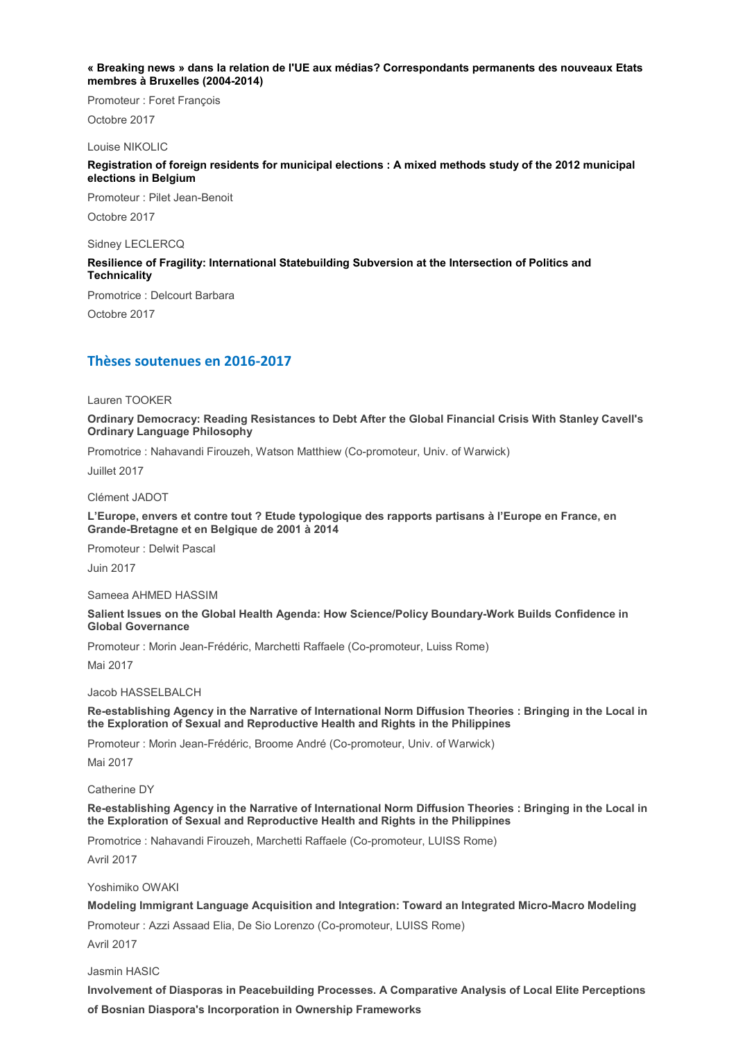#### **« Breaking news » dans la relation de l'UE aux médias? Correspondants permanents des nouveaux Etats membres à Bruxelles (2004-2014)**

Promoteur : Foret François

Octobre 2017

# Louise NIKOLIC

# **Registration of foreign residents for municipal elections : A mixed methods study of the 2012 municipal elections in Belgium**

Promoteur : Pilet Jean-Benoit Octobre 2017

Sidney LECLERCQ

# **Resilience of Fragility: International Statebuilding Subversion at the Intersection of Politics and Technicality**

Promotrice : Delcourt Barbara Octobre 2017

# **Thèses soutenues en 2016-2017**

Lauren TOOKER

**Ordinary Democracy: Reading Resistances to Debt After the Global Financial Crisis With Stanley Cavell's Ordinary Language Philosophy**

Promotrice : Nahavandi Firouzeh, Watson Matthiew (Co-promoteur, Univ. of Warwick)

Juillet 2017

Clément JADOT

**L'Europe, envers et contre tout ? Etude typologique des rapports partisans à l'Europe en France, en Grande-Bretagne et en Belgique de 2001 à 2014**

Promoteur : Delwit Pascal

Juin 2017

Sameea AHMED HASSIM

**Salient Issues on the Global Health Agenda: How Science/Policy Boundary-Work Builds Confidence in Global Governance**

Promoteur : Morin Jean-Frédéric, Marchetti Raffaele (Co-promoteur, Luiss Rome)

Mai 2017

Jacob HASSELBALCH

**Re-establishing Agency in the Narrative of International Norm Diffusion Theories : Bringing in the Local in the Exploration of Sexual and Reproductive Health and Rights in the Philippines**

Promoteur : Morin Jean-Frédéric, Broome André (Co-promoteur, Univ. of Warwick)

Mai 2017

Catherine DY

**Re-establishing Agency in the Narrative of International Norm Diffusion Theories : Bringing in the Local in the Exploration of Sexual and Reproductive Health and Rights in the Philippines**

Promotrice : Nahavandi Firouzeh, Marchetti Raffaele (Co-promoteur, LUISS Rome)

Avril 2017

Yoshimiko OWAKI

**Modeling Immigrant Language Acquisition and Integration: Toward an Integrated Micro-Macro Modeling**

Promoteur : Azzi Assaad Elia, De Sio Lorenzo (Co-promoteur, LUISS Rome)

Avril 2017

Jasmin HASIC

**Involvement of Diasporas in Peacebuilding Processes. A Comparative Analysis of Local Elite Perceptions of Bosnian Diaspora's Incorporation in Ownership Frameworks**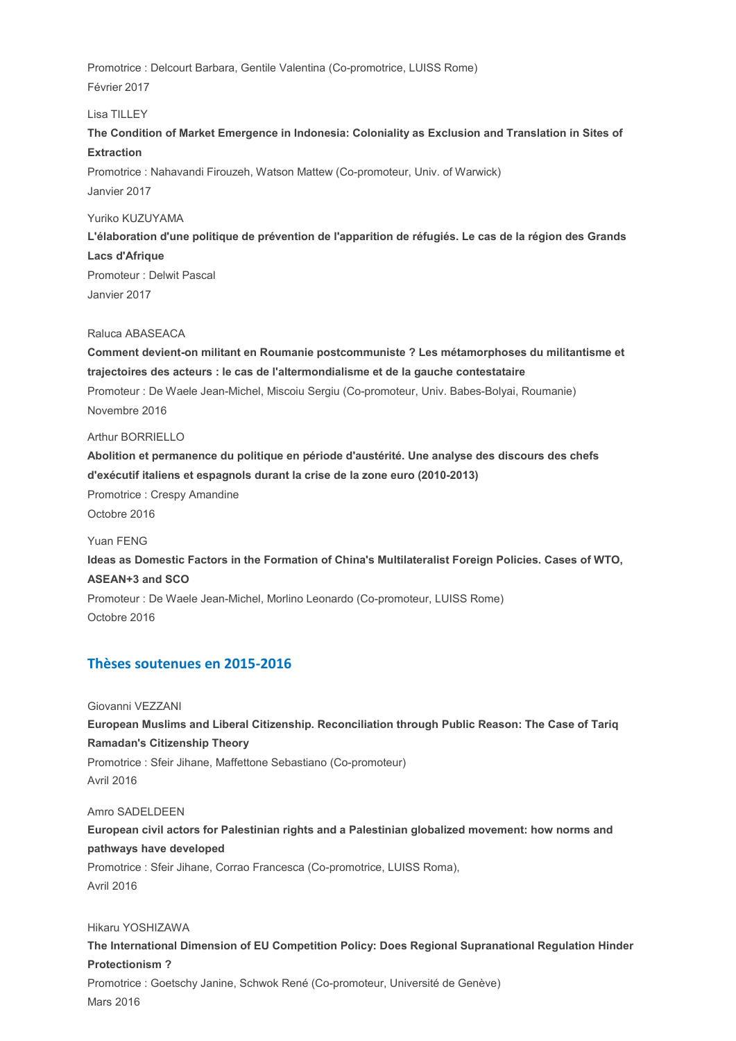Promotrice : Delcourt Barbara, Gentile Valentina (Co-promotrice, LUISS Rome) Février 2017

Lisa TILLEY

**The Condition of Market Emergence in Indonesia: Coloniality as Exclusion and Translation in Sites of Extraction**

Promotrice : Nahavandi Firouzeh, Watson Mattew (Co-promoteur, Univ. of Warwick) Janvier 2017

Yuriko KUZUYAMA

**L'élaboration d'une politique de prévention de l'apparition de réfugiés. Le cas de la région des Grands Lacs d'Afrique**

Promoteur : Delwit Pascal Janvier 2017

Raluca ABASEACA

**Comment devient-on militant en Roumanie postcommuniste ? Les métamorphoses du militantisme et trajectoires des acteurs : le cas de l'altermondialisme et de la gauche contestataire** Promoteur : De Waele Jean-Michel, Miscoiu Sergiu (Co-promoteur, Univ. Babes-Bolyai, Roumanie) Novembre 2016

Arthur BORRIELLO

**Abolition et permanence du politique en période d'austérité. Une analyse des discours des chefs d'exécutif italiens et espagnols durant la crise de la zone euro (2010-2013)** Promotrice : Crespy Amandine

Octobre 2016

Yuan FENG **Ideas as Domestic Factors in the Formation of China's Multilateralist Foreign Policies. Cases of WTO, ASEAN+3 and SCO** Promoteur : De Waele Jean-Michel, Morlino Leonardo (Co-promoteur, LUISS Rome) Octobre 2016

# **Thèses soutenues en 2015-2016**

Giovanni VEZZANI **European Muslims and Liberal Citizenship. Reconciliation through Public Reason: The Case of Tariq Ramadan's Citizenship Theory** Promotrice : Sfeir Jihane, Maffettone Sebastiano (Co-promoteur) Avril 2016

Amro SADELDEEN **European civil actors for Palestinian rights and a Palestinian globalized movement: how norms and pathways have developed** Promotrice : Sfeir Jihane, Corrao Francesca (Co-promotrice, LUISS Roma), Avril 2016

Hikaru YOSHIZAWA

**The International Dimension of EU Competition Policy: Does Regional Supranational Regulation Hinder Protectionism ?** Promotrice : Goetschy Janine, Schwok René (Co-promoteur, Université de Genève) Mars 2016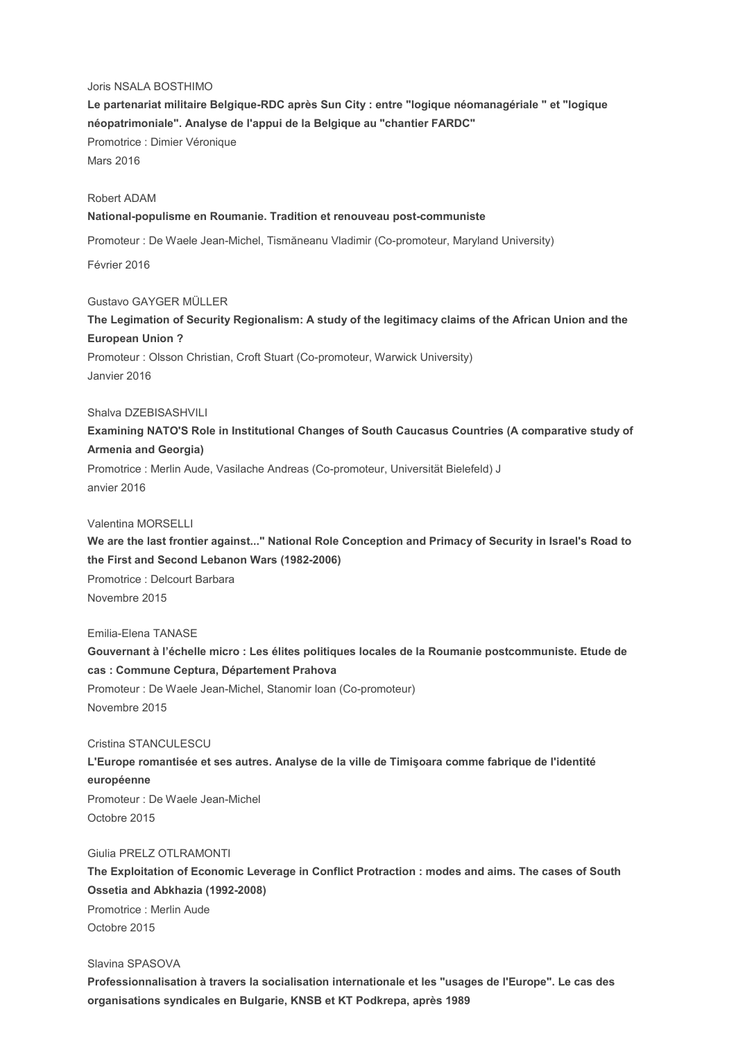# Joris NSALA BOSTHIMO

**Le partenariat militaire Belgique-RDC après Sun City : entre "logique néomanagériale " et "logique néopatrimoniale". Analyse de l'appui de la Belgique au "chantier FARDC"** Promotrice : Dimier Véronique Mars 2016

# Robert ADAM

### **National-populisme en Roumanie. Tradition et renouveau post-communiste**

Promoteur : De Waele Jean-Michel, Tismăneanu Vladimir (Co-promoteur, Maryland University)

Février 2016

#### Gustavo GAYGER MÜLLER

**The Legimation of Security Regionalism: A study of the legitimacy claims of the African Union and the European Union ?**

Promoteur : Olsson Christian, Croft Stuart (Co-promoteur, Warwick University) Janvier 2016

# Shalva DZEBISASHVILI

**Examining NATO'S Role in Institutional Changes of South Caucasus Countries (A comparative study of Armenia and Georgia)**

Promotrice : Merlin Aude, Vasilache Andreas (Co-promoteur, Universität Bielefeld) J anvier 2016

Valentina MORSELLI

**We are the last frontier against..." National Role Conception and Primacy of Security in Israel's Road to the First and Second Lebanon Wars (1982-2006)** Promotrice : Delcourt Barbara

Novembre 2015

#### Emilia-Elena TANASE

**Gouvernant à l'échelle micro : Les élites politiques locales de la Roumanie postcommuniste. Etude de cas : Commune Ceptura, Département Prahova** Promoteur : De Waele Jean-Michel, Stanomir Ioan (Co-promoteur) Novembre 2015

## Cristina STANCULESCU

# **L'Europe romantisée et ses autres. Analyse de la ville de Timişoara comme fabrique de l'identité européenne** Promoteur : De Waele Jean-Michel

Octobre 2015

# Giulia PRELZ OTLRAMONTI

**The Exploitation of Economic Leverage in Conflict Protraction : modes and aims. The cases of South Ossetia and Abkhazia (1992-2008)** Promotrice : Merlin Aude Octobre 2015

Slavina SPASOVA

**Professionnalisation à travers la socialisation internationale et les "usages de l'Europe". Le cas des organisations syndicales en Bulgarie, KNSB et KT Podkrepa, après 1989**